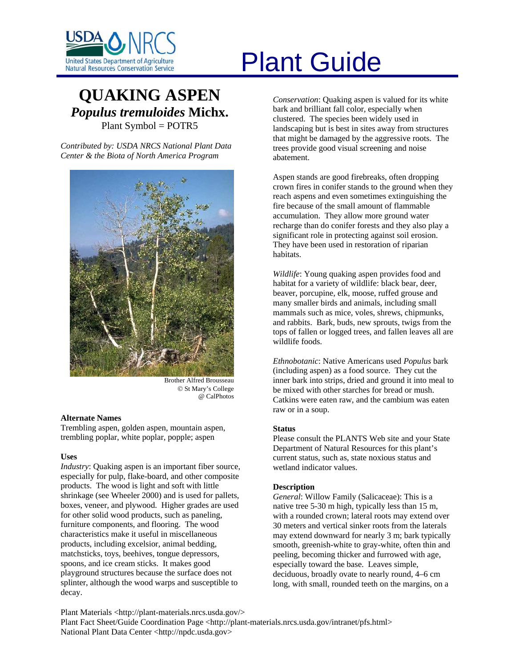

# United States Department of Agriculture<br>Natural Resources Conservation Service

# **QUAKING ASPEN** *Populus tremuloides* **Michx.**  Plant Symbol = POTR5

*Contributed by: USDA NRCS National Plant Data Center & the Biota of North America Program* 



Brother Alfred Brousseau © St Mary's College @ CalPhotos

# **Alternate Names**

Trembling aspen, golden aspen, mountain aspen, trembling poplar, white poplar, popple; aspen

# **Uses**

*Industry*: Quaking aspen is an important fiber source, especially for pulp, flake-board, and other composite products. The wood is light and soft with little shrinkage (see Wheeler 2000) and is used for pallets, boxes, veneer, and plywood. Higher grades are used for other solid wood products, such as paneling, furniture components, and flooring. The wood characteristics make it useful in miscellaneous products, including excelsior, animal bedding, matchsticks, toys, beehives, tongue depressors, spoons, and ice cream sticks. It makes good playground structures because the surface does not splinter, although the wood warps and susceptible to decay.

*Conservation*: Quaking aspen is valued for its white bark and brilliant fall color, especially when clustered. The species been widely used in landscaping but is best in sites away from structures that might be damaged by the aggressive roots. The trees provide good visual screening and noise abatement.

Aspen stands are good firebreaks, often dropping crown fires in conifer stands to the ground when they reach aspens and even sometimes extinguishing the fire because of the small amount of flammable accumulation. They allow more ground water recharge than do conifer forests and they also play a significant role in protecting against soil erosion. They have been used in restoration of riparian habitats.

*Wildlife*: Young quaking aspen provides food and habitat for a variety of wildlife: black bear, deer, beaver, porcupine, elk, moose, ruffed grouse and many smaller birds and animals, including small mammals such as mice, voles, shrews, chipmunks, and rabbits. Bark, buds, new sprouts, twigs from the tops of fallen or logged trees, and fallen leaves all are wildlife foods.

*Ethnobotanic*: Native Americans used *Populus* bark (including aspen) as a food source. They cut the inner bark into strips, dried and ground it into meal to be mixed with other starches for bread or mush. Catkins were eaten raw, and the cambium was eaten raw or in a soup.

# **Status**

Please consult the PLANTS Web site and your State Department of Natural Resources for this plant's current status, such as, state noxious status and wetland indicator values.

# **Description**

*General*: Willow Family (Salicaceae): This is a native tree 5-30 m high, typically less than 15 m, with a rounded crown; lateral roots may extend over 30 meters and vertical sinker roots from the laterals may extend downward for nearly 3 m; bark typically smooth, greenish-white to gray-white, often thin and peeling, becoming thicker and furrowed with age, especially toward the base. Leaves simple, deciduous, broadly ovate to nearly round, 4–6 cm long, with small, rounded teeth on the margins, on a

Plant Materials <http://plant-materials.nrcs.usda.gov/> Plant Fact Sheet/Guide Coordination Page <http://plant-materials.nrcs.usda.gov/intranet/pfs.html> National Plant Data Center <http://npdc.usda.gov>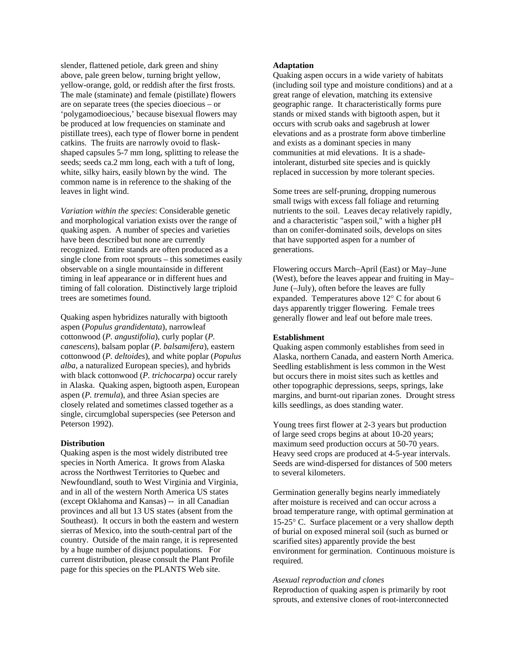slender, flattened petiole, dark green and shiny above, pale green below, turning bright yellow, yellow-orange, gold, or reddish after the first frosts. The male (staminate) and female (pistillate) flowers are on separate trees (the species dioecious – or 'polygamodioecious,' because bisexual flowers may be produced at low frequencies on staminate and pistillate trees), each type of flower borne in pendent catkins. The fruits are narrowly ovoid to flaskshaped capsules 5-7 mm long, splitting to release the seeds; seeds ca.2 mm long, each with a tuft of long, white, silky hairs, easily blown by the wind. The common name is in reference to the shaking of the leaves in light wind.

*Variation within the species*: Considerable genetic and morphological variation exists over the range of quaking aspen. A number of species and varieties have been described but none are currently recognized. Entire stands are often produced as a single clone from root sprouts – this sometimes easily observable on a single mountainside in different timing in leaf appearance or in different hues and timing of fall coloration. Distinctively large triploid trees are sometimes found.

Quaking aspen hybridizes naturally with bigtooth aspen (*Populus grandidentata*), narrowleaf cottonwood (*P. angustifolia*), curly poplar (*P. canescens*), balsam poplar (*P. balsamifera*), eastern cottonwood (*P. deltoides*), and white poplar (*Populus alba*, a naturalized European species), and hybrids with black cottonwood (*P. trichocarpa*) occur rarely in Alaska. Quaking aspen, bigtooth aspen, European aspen (*P. tremula*), and three Asian species are closely related and sometimes classed together as a single, circumglobal superspecies (see Peterson and Peterson 1992).

## **Distribution**

Quaking aspen is the most widely distributed tree species in North America. It grows from Alaska across the Northwest Territories to Quebec and Newfoundland, south to West Virginia and Virginia, and in all of the western North America US states (except Oklahoma and Kansas) -- in all Canadian provinces and all but 13 US states (absent from the Southeast). It occurs in both the eastern and western sierras of Mexico, into the south-central part of the country. Outside of the main range, it is represented by a huge number of disjunct populations. For current distribution, please consult the Plant Profile page for this species on the PLANTS Web site.

# **Adaptation**

Quaking aspen occurs in a wide variety of habitats (including soil type and moisture conditions) and at a great range of elevation, matching its extensive geographic range. It characteristically forms pure stands or mixed stands with bigtooth aspen, but it occurs with scrub oaks and sagebrush at lower elevations and as a prostrate form above timberline and exists as a dominant species in many communities at mid elevations. It is a shadeintolerant, disturbed site species and is quickly replaced in succession by more tolerant species.

Some trees are self-pruning, dropping numerous small twigs with excess fall foliage and returning nutrients to the soil. Leaves decay relatively rapidly, and a characteristic "aspen soil," with a higher pH than on conifer-dominated soils, develops on sites that have supported aspen for a number of generations.

Flowering occurs March–April (East) or May–June (West), before the leaves appear and fruiting in May– June (–July), often before the leaves are fully expanded. Temperatures above 12° C for about 6 days apparently trigger flowering. Female trees generally flower and leaf out before male trees.

#### **Establishment**

Quaking aspen commonly establishes from seed in Alaska, northern Canada, and eastern North America. Seedling establishment is less common in the West but occurs there in moist sites such as kettles and other topographic depressions, seeps, springs, lake margins, and burnt-out riparian zones. Drought stress kills seedlings, as does standing water.

Young trees first flower at 2-3 years but production of large seed crops begins at about 10-20 years; maximum seed production occurs at 50-70 years. Heavy seed crops are produced at 4-5-year intervals. Seeds are wind-dispersed for distances of 500 meters to several kilometers.

Germination generally begins nearly immediately after moisture is received and can occur across a broad temperature range, with optimal germination at 15-25° C. Surface placement or a very shallow depth of burial on exposed mineral soil (such as burned or scarified sites) apparently provide the best environment for germination. Continuous moisture is required.

#### *Asexual reproduction and clones*

Reproduction of quaking aspen is primarily by root sprouts, and extensive clones of root-interconnected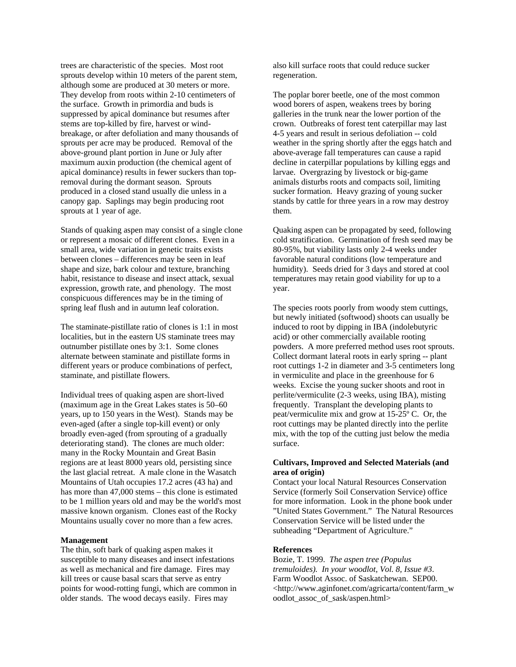trees are characteristic of the species. Most root sprouts develop within 10 meters of the parent stem, although some are produced at 30 meters or more. They develop from roots within 2-10 centimeters of the surface. Growth in primordia and buds is suppressed by apical dominance but resumes after stems are top-killed by fire, harvest or windbreakage, or after defoliation and many thousands of sprouts per acre may be produced. Removal of the above-ground plant portion in June or July after maximum auxin production (the chemical agent of apical dominance) results in fewer suckers than topremoval during the dormant season. Sprouts produced in a closed stand usually die unless in a canopy gap. Saplings may begin producing root sprouts at 1 year of age.

Stands of quaking aspen may consist of a single clone or represent a mosaic of different clones. Even in a small area, wide variation in genetic traits exists between clones – differences may be seen in leaf shape and size, bark colour and texture, branching habit, resistance to disease and insect attack, sexual expression, growth rate, and phenology. The most conspicuous differences may be in the timing of spring leaf flush and in autumn leaf coloration.

The staminate-pistillate ratio of clones is 1:1 in most localities, but in the eastern US staminate trees may outnumber pistillate ones by 3:1. Some clones alternate between staminate and pistillate forms in different years or produce combinations of perfect, staminate, and pistillate flowers.

Individual trees of quaking aspen are short-lived (maximum age in the Great Lakes states is 50–60 years, up to 150 years in the West). Stands may be even-aged (after a single top-kill event) or only broadly even-aged (from sprouting of a gradually deteriorating stand). The clones are much older: many in the Rocky Mountain and Great Basin regions are at least 8000 years old, persisting since the last glacial retreat. A male clone in the Wasatch Mountains of Utah occupies 17.2 acres (43 ha) and has more than 47,000 stems – this clone is estimated to be 1 million years old and may be the world's most massive known organism. Clones east of the Rocky Mountains usually cover no more than a few acres.

# **Management**

The thin, soft bark of quaking aspen makes it susceptible to many diseases and insect infestations as well as mechanical and fire damage. Fires may kill trees or cause basal scars that serve as entry points for wood-rotting fungi, which are common in older stands. The wood decays easily. Fires may

also kill surface roots that could reduce sucker regeneration.

The poplar borer beetle, one of the most common wood borers of aspen, weakens trees by boring galleries in the trunk near the lower portion of the crown. Outbreaks of forest tent caterpillar may last 4-5 years and result in serious defoliation -- cold weather in the spring shortly after the eggs hatch and above-average fall temperatures can cause a rapid decline in caterpillar populations by killing eggs and larvae. Overgrazing by livestock or big-game animals disturbs roots and compacts soil, limiting sucker formation. Heavy grazing of young sucker stands by cattle for three years in a row may destroy them.

Quaking aspen can be propagated by seed, following cold stratification. Germination of fresh seed may be 80-95%, but viability lasts only 2-4 weeks under favorable natural conditions (low temperature and humidity). Seeds dried for 3 days and stored at cool temperatures may retain good viability for up to a year.

The species roots poorly from woody stem cuttings, but newly initiated (softwood) shoots can usually be induced to root by dipping in IBA (indolebutyric acid) or other commercially available rooting powders. A more preferred method uses root sprouts. Collect dormant lateral roots in early spring -- plant root cuttings 1-2 in diameter and 3-5 centimeters long in vermiculite and place in the greenhouse for 6 weeks. Excise the young sucker shoots and root in perlite/vermiculite (2-3 weeks, using IBA), misting frequently. Transplant the developing plants to peat/vermiculite mix and grow at 15-25º C. Or, the root cuttings may be planted directly into the perlite mix, with the top of the cutting just below the media surface.

# **Cultivars, Improved and Selected Materials (and area of origin)**

Contact your local Natural Resources Conservation Service (formerly Soil Conservation Service) office for more information. Look in the phone book under "United States Government." The Natural Resources Conservation Service will be listed under the subheading "Department of Agriculture."

# **References**

Bozie, T. 1999. *The aspen tree (Populus tremuloides). In your woodlot, Vol. 8, Issue #3*. Farm Woodlot Assoc. of Saskatchewan. SEP00. <http://www.aginfonet.com/agricarta/content/farm\_w oodlot\_assoc\_of\_sask/aspen.html>